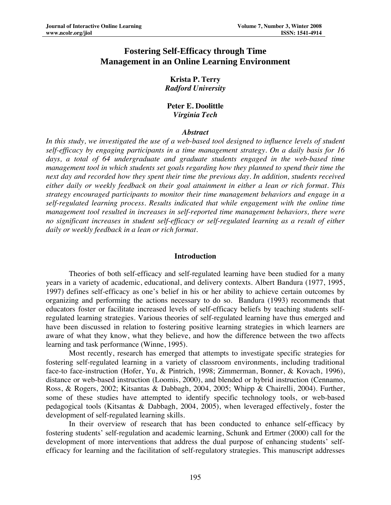# **Fostering Self-Efficacy through Time Management in an Online Learning Environment**

# **Krista P. Terry**  *Radford University*

# **Peter E. Doolittle**  *Virginia Tech*

# *Abstract*

*In this study, we investigated the use of a web-based tool designed to influence levels of student self-efficacy by engaging participants in a time management strategy. On a daily basis for 16*  days, a total of 64 undergraduate and graduate students engaged in the web-based time *management tool in which students set goals regarding how they planned to spend their time the next day and recorded how they spent their time the previous day. In addition, students received either daily or weekly feedback on their goal attainment in either a lean or rich format. This strategy encouraged participants to monitor their time management behaviors and engage in a self-regulated learning process. Results indicated that while engagement with the online time management tool resulted in increases in self-reported time management behaviors, there were no significant increases in student self-efficacy or self-regulated learning as a result of either daily or weekly feedback in a lean or rich format.* 

# **Introduction**

Theories of both self-efficacy and self-regulated learning have been studied for a many years in a variety of academic, educational, and delivery contexts. Albert Bandura (1977, 1995, 1997) defines self-efficacy as one's belief in his or her ability to achieve certain outcomes by organizing and performing the actions necessary to do so. Bandura (1993) recommends that educators foster or facilitate increased levels of self-efficacy beliefs by teaching students selfregulated learning strategies. Various theories of self-regulated learning have thus emerged and have been discussed in relation to fostering positive learning strategies in which learners are aware of what they know, what they believe, and how the difference between the two affects learning and task performance (Winne, 1995).

 Most recently, research has emerged that attempts to investigate specific strategies for fostering self-regulated learning in a variety of classroom environments, including traditional face-to face-instruction (Hofer, Yu, & Pintrich, 1998; Zimmerman, Bonner, & Kovach, 1996), distance or web-based instruction (Loomis, 2000), and blended or hybrid instruction (Cennamo, Ross, & Rogers, 2002; Kitsantas & Dabbagh, 2004, 2005; Whipp & Chairelli, 2004). Further, some of these studies have attempted to identify specific technology tools, or web-based pedagogical tools (Kitsantas & Dabbagh, 2004, 2005), when leveraged effectively, foster the development of self-regulated learning skills.

In their overview of research that has been conducted to enhance self-efficacy by fostering students' self-regulation and academic learning, Schunk and Ertmer (2000) call for the development of more interventions that address the dual purpose of enhancing students' selfefficacy for learning and the facilitation of self-regulatory strategies. This manuscript addresses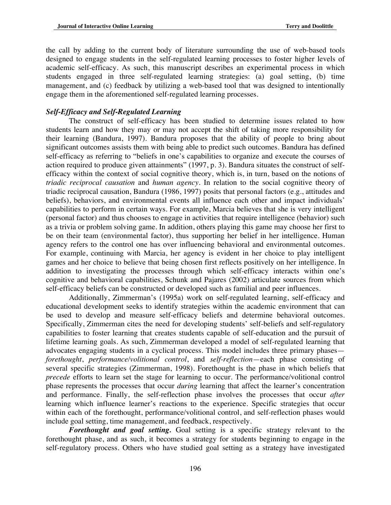the call by adding to the current body of literature surrounding the use of web-based tools designed to engage students in the self-regulated learning processes to foster higher levels of academic self-efficacy. As such, this manuscript describes an experimental process in which students engaged in three self-regulated learning strategies: (a) goal setting, (b) time management, and (c) feedback by utilizing a web-based tool that was designed to intentionally engage them in the aforementioned self-regulated learning processes.

# *Self-Efficacy and Self-Regulated Learning*

The construct of self-efficacy has been studied to determine issues related to how students learn and how they may or may not accept the shift of taking more responsibility for their learning (Bandura, 1997). Bandura proposes that the ability of people to bring about significant outcomes assists them with being able to predict such outcomes. Bandura has defined self-efficacy as referring to "beliefs in one's capabilities to organize and execute the courses of action required to produce given attainments" (1997, p. 3). Bandura situates the construct of selfefficacy within the context of social cognitive theory, which is, in turn, based on the notions of *triadic reciprocal causation* and *human agency*. In relation to the social cognitive theory of triadic reciprocal causation, Bandura (1986, 1997) posits that personal factors (e.g., attitudes and beliefs), behaviors, and environmental events all influence each other and impact individuals' capabilities to perform in certain ways. For example, Marcia believes that she is very intelligent (personal factor) and thus chooses to engage in activities that require intelligence (behavior) such as a trivia or problem solving game. In addition, others playing this game may choose her first to be on their team (environmental factor), thus supporting her belief in her intelligence. Human agency refers to the control one has over influencing behavioral and environmental outcomes. For example, continuing with Marcia, her agency is evident in her choice to play intelligent games and her choice to believe that being chosen first reflects positively on her intelligence. In addition to investigating the processes through which self-efficacy interacts within one's cognitive and behavioral capabilities, Schunk and Pajares (2002) articulate sources from which self-efficacy beliefs can be constructed or developed such as familial and peer influences.

Additionally, Zimmerman's (1995a) work on self-regulated learning, self-efficacy and educational development seeks to identify strategies within the academic environment that can be used to develop and measure self-efficacy beliefs and determine behavioral outcomes. Specifically, Zimmerman cites the need for developing students' self-beliefs and self-regulatory capabilities to foster learning that creates students capable of self-education and the pursuit of lifetime learning goals. As such, Zimmerman developed a model of self-regulated learning that advocates engaging students in a cyclical process. This model includes three primary phases *forethought*, *performance/volitional control*, and *self-reflection*—each phase consisting of several specific strategies (Zimmerman, 1998). Forethought is the phase in which beliefs that *precede* efforts to learn set the stage for learning to occur. The performance/volitional control phase represents the processes that occur *during* learning that affect the learner's concentration and performance. Finally, the self-reflection phase involves the processes that occur *after* learning which influence learner's reactions to the experience. Specific strategies that occur within each of the forethought, performance/volitional control, and self-reflection phases would include goal setting, time management, and feedback, respectively.

*Forethought and goal setting.* Goal setting is a specific strategy relevant to the forethought phase, and as such, it becomes a strategy for students beginning to engage in the self-regulatory process. Others who have studied goal setting as a strategy have investigated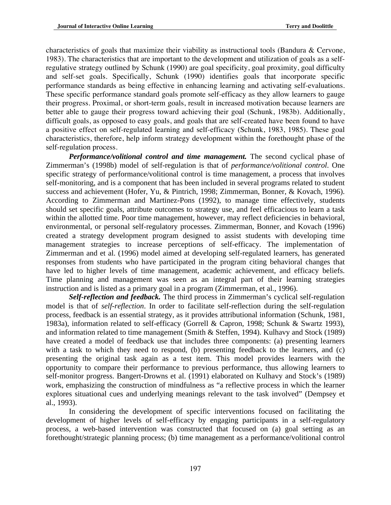characteristics of goals that maximize their viability as instructional tools (Bandura & Cervone, 1983). The characteristics that are important to the development and utilization of goals as a selfregulative strategy outlined by Schunk (1990) are goal specificity, goal proximity, goal difficulty and self-set goals. Specifically, Schunk (1990) identifies goals that incorporate specific performance standards as being effective in enhancing learning and activating self-evaluations. These specific performance standard goals promote self-efficacy as they allow learners to gauge their progress. Proximal, or short-term goals, result in increased motivation because learners are better able to gauge their progress toward achieving their goal (Schunk, 1983b). Additionally, difficult goals, as opposed to easy goals, and goals that are self-created have been found to have a positive effect on self-regulated learning and self-efficacy (Schunk, 1983, 1985). These goal characteristics, therefore, help inform strategy development within the forethought phase of the self-regulation process.

*Performance/volitional control and time management.* The second cyclical phase of Zimmerman's (1998b) model of self-regulation is that of *performance/volitional control*. One specific strategy of performance/volitional control is time management, a process that involves self-monitoring, and is a component that has been included in several programs related to student success and achievement (Hofer, Yu, & Pintrich, 1998; Zimmerman, Bonner, & Kovach, 1996). According to Zimmerman and Martinez-Pons (1992), to manage time effectively, students should set specific goals, attribute outcomes to strategy use, and feel efficacious to learn a task within the allotted time. Poor time management, however, may reflect deficiencies in behavioral, environmental, or personal self-regulatory processes. Zimmerman, Bonner, and Kovach (1996) created a strategy development program designed to assist students with developing time management strategies to increase perceptions of self-efficacy. The implementation of Zimmerman and et al. (1996) model aimed at developing self-regulated learners, has generated responses from students who have participated in the program citing behavioral changes that have led to higher levels of time management, academic achievement, and efficacy beliefs. Time planning and management was seen as an integral part of their learning strategies instruction and is listed as a primary goal in a program (Zimmerman, et al., 1996).

*Self-reflection and feedback.* The third process in Zimmerman's cyclical self-regulation model is that of *self-reflection*. In order to facilitate self-reflection during the self-regulation process, feedback is an essential strategy, as it provides attributional information (Schunk, 1981, 1983a), information related to self-efficacy (Gorrell & Capron, 1998; Schunk & Swartz 1993), and information related to time management (Smith & Steffen, 1994). Kulhavy and Stock (1989) have created a model of feedback use that includes three components: (a) presenting learners with a task to which they need to respond, (b) presenting feedback to the learners, and (c) presenting the original task again as a test item. This model provides learners with the opportunity to compare their performance to previous performance, thus allowing learners to self-monitor progress. Bangert-Drowns et al. (1991) elaborated on Kulhavy and Stock's (1989) work, emphasizing the construction of mindfulness as "a reflective process in which the learner explores situational cues and underlying meanings relevant to the task involved" (Dempsey et al., 1993).

 In considering the development of specific interventions focused on facilitating the development of higher levels of self-efficacy by engaging participants in a self-regulatory process, a web-based intervention was constructed that focused on (a) goal setting as an forethought/strategic planning process; (b) time management as a performance/volitional control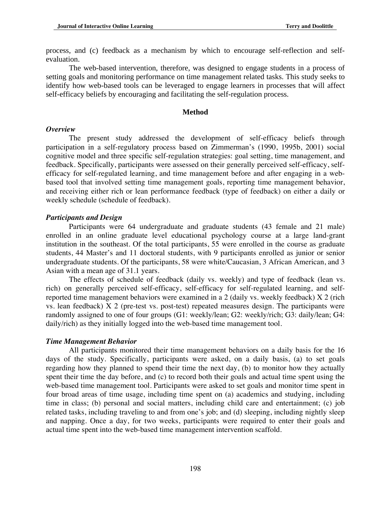process, and (c) feedback as a mechanism by which to encourage self-reflection and selfevaluation.

The web-based intervention, therefore, was designed to engage students in a process of setting goals and monitoring performance on time management related tasks. This study seeks to identify how web-based tools can be leveraged to engage learners in processes that will affect self-efficacy beliefs by encouraging and facilitating the self-regulation process.

#### **Method**

#### *Overview*

 The present study addressed the development of self-efficacy beliefs through participation in a self-regulatory process based on Zimmerman's (1990, 1995b, 2001) social cognitive model and three specific self-regulation strategies: goal setting, time management, and feedback. Specifically, participants were assessed on their generally perceived self-efficacy, selfefficacy for self-regulated learning, and time management before and after engaging in a webbased tool that involved setting time management goals, reporting time management behavior, and receiving either rich or lean performance feedback (type of feedback) on either a daily or weekly schedule (schedule of feedback).

# *Participants and Design*

 Participants were 64 undergraduate and graduate students (43 female and 21 male) enrolled in an online graduate level educational psychology course at a large land-grant institution in the southeast. Of the total participants, 55 were enrolled in the course as graduate students, 44 Master's and 11 doctoral students, with 9 participants enrolled as junior or senior undergraduate students. Of the participants, 58 were white/Caucasian, 3 African American, and 3 Asian with a mean age of 31.1 years.

The effects of schedule of feedback (daily vs. weekly) and type of feedback (lean vs. rich) on generally perceived self-efficacy, self-efficacy for self-regulated learning, and selfreported time management behaviors were examined in a 2 (daily vs. weekly feedback) X 2 (rich vs. lean feedback) X 2 (pre-test vs. post-test) repeated measures design. The participants were randomly assigned to one of four groups (G1: weekly/lean; G2: weekly/rich; G3: daily/lean; G4: daily/rich) as they initially logged into the web-based time management tool.

### *Time Management Behavior*

 All participants monitored their time management behaviors on a daily basis for the 16 days of the study. Specifically, participants were asked, on a daily basis, (a) to set goals regarding how they planned to spend their time the next day, (b) to monitor how they actually spent their time the day before, and (c) to record both their goals and actual time spent using the web-based time management tool. Participants were asked to set goals and monitor time spent in four broad areas of time usage, including time spent on (a) academics and studying, including time in class; (b) personal and social matters, including child care and entertainment; (c) job related tasks, including traveling to and from one's job; and (d) sleeping, including nightly sleep and napping. Once a day, for two weeks, participants were required to enter their goals and actual time spent into the web-based time management intervention scaffold.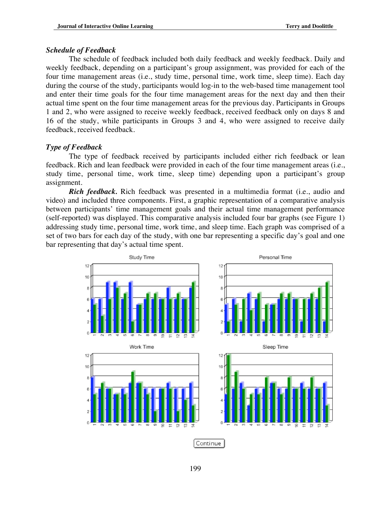### *Schedule of Feedback*

 The schedule of feedback included both daily feedback and weekly feedback. Daily and weekly feedback, depending on a participant's group assignment, was provided for each of the four time management areas (i.e., study time, personal time, work time, sleep time). Each day during the course of the study, participants would log-in to the web-based time management tool and enter their time goals for the four time management areas for the next day and then their actual time spent on the four time management areas for the previous day. Participants in Groups 1 and 2, who were assigned to receive weekly feedback, received feedback only on days 8 and 16 of the study, while participants in Groups 3 and 4, who were assigned to receive daily feedback, received feedback.

# *Type of Feedback*

 The type of feedback received by participants included either rich feedback or lean feedback. Rich and lean feedback were provided in each of the four time management areas (i.e., study time, personal time, work time, sleep time) depending upon a participant's group assignment.

*Rich feedback.* Rich feedback was presented in a multimedia format (i.e., audio and video) and included three components. First, a graphic representation of a comparative analysis between participants' time management goals and their actual time management performance (self-reported) was displayed. This comparative analysis included four bar graphs (see Figure 1) addressing study time, personal time, work time, and sleep time. Each graph was comprised of a set of two bars for each day of the study, with one bar representing a specific day's goal and one bar representing that day's actual time spent.

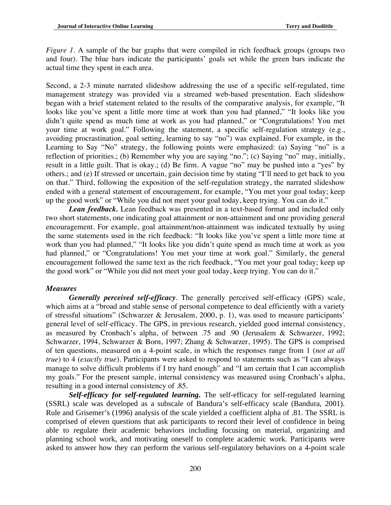*Figure 1.* A sample of the bar graphs that were compiled in rich feedback groups (groups two and four). The blue bars indicate the participants' goals set while the green bars indicate the actual time they spent in each area.

Second, a 2-3 minute narrated slideshow addressing the use of a specific self-regulated, time management strategy was provided via a streamed web-based presentation. Each slideshow began with a brief statement related to the results of the comparative analysis, for example, "It looks like you've spent a little more time at work than you had planned," "It looks like you didn't quite spend as much time at work as you had planned," or "Congratulations! You met your time at work goal." Following the statement, a specific self-regulation strategy (e.g., avoiding procrastination, goal setting, learning to say "no") was explained. For example, in the Learning to Say "No" strategy, the following points were emphasized: (a) Saying "no" is a reflection of priorities.; (b) Remember why you are saying "no."; (c) Saying "no" may, initially, result in a little guilt. That is okay.; (d) Be firm. A vague "no" may be pushed into a "yes" by others.; and (e) If stressed or uncertain, gain decision time by stating "I'll need to get back to you on that." Third, following the exposition of the self-regulation strategy, the narrated slideshow ended with a general statement of encouragement, for example, "You met your goal today; keep up the good work" or "While you did not meet your goal today, keep trying. You can do it."

*Lean feedback.* Lean feedback was presented in a text-based format and included only two short statements, one indicating goal attainment or non-attainment and one providing general encouragement. For example, goal attainment/non-attainment was indicated textually by using the same statements used in the rich feedback: "It looks like you've spent a little more time at work than you had planned," "It looks like you didn't quite spend as much time at work as you had planned," or "Congratulations! You met your time at work goal." Similarly, the general encouragement followed the same text as the rich feedback, "You met your goal today; keep up the good work" or "While you did not meet your goal today, keep trying. You can do it."

# *Measures*

*Generally perceived self-efficacy.* The generally perceived self-efficacy (GPS) scale, which aims at a "broad and stable sense of personal competence to deal efficiently with a variety of stressful situations" (Schwarzer & Jerusalem, 2000, p. 1), was used to measure participants' general level of self-efficacy. The GPS, in previous research, yielded good internal consistency, as measured by Cronbach's alpha, of between .75 and .90 (Jerusalem & Schwarzer, 1992; Schwarzer, 1994, Schwarzer & Born, 1997; Zhang & Schwarzer, 1995). The GPS is comprised of ten questions, measured on a 4-point scale, in which the responses range from 1 (*not at all true*) to 4 (*exactly true*). Participants were asked to respond to statements such as "I can always manage to solve difficult problems if I try hard enough" and "I am certain that I can accomplish my goals." For the present sample, internal consistency was measured using Cronbach's alpha, resulting in a good internal consistency of .85.

*Self-efficacy for self-regulated learning***.** The self-efficacy for self-regulated learning (SSRL) scale was developed as a subscale of Bandura's self-efficacy scale (Bandura, 2001). Rule and Grisemer's (1996) analysis of the scale yielded a coefficient alpha of .81. The SSRL is comprised of eleven questions that ask participants to record their level of confidence in being able to regulate their academic behaviors including focusing on material, organizing and planning school work, and motivating oneself to complete academic work. Participants were asked to answer how they can perform the various self-regulatory behaviors on a 4-point scale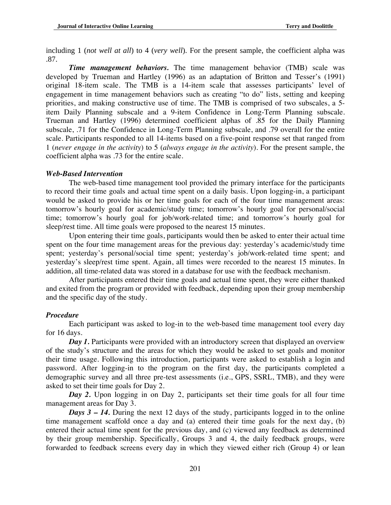including 1 (*not well at all*) to 4 (*very well*). For the present sample, the coefficient alpha was .87.

*Time management behaviors.* The time management behavior (TMB) scale was developed by Trueman and Hartley (1996) as an adaptation of Britton and Tesser's (1991) original 18-item scale. The TMB is a 14-item scale that assesses participants' level of engagement in time management behaviors such as creating "to do" lists, setting and keeping priorities, and making constructive use of time. The TMB is comprised of two subscales, a 5 item Daily Planning subscale and a 9-item Confidence in Long-Term Planning subscale. Trueman and Hartley (1996) determined coefficient alphas of .85 for the Daily Planning subscale, .71 for the Confidence in Long-Term Planning subscale, and .79 overall for the entire scale. Participants responded to all 14-items based on a five-point response set that ranged from 1 (*never engage in the activity*) to 5 (*always engage in the activity*). For the present sample, the coefficient alpha was .73 for the entire scale.

### *Web-Based Intervention*

 The web-based time management tool provided the primary interface for the participants to record their time goals and actual time spent on a daily basis. Upon logging-in, a participant would be asked to provide his or her time goals for each of the four time management areas: tomorrow's hourly goal for academic/study time; tomorrow's hourly goal for personal/social time; tomorrow's hourly goal for job/work-related time; and tomorrow's hourly goal for sleep/rest time. All time goals were proposed to the nearest 15 minutes.

Upon entering their time goals, participants would then be asked to enter their actual time spent on the four time management areas for the previous day: yesterday's academic/study time spent; yesterday's personal/social time spent; yesterday's job/work-related time spent; and yesterday's sleep/rest time spent. Again, all times were recorded to the nearest 15 minutes. In addition, all time-related data was stored in a database for use with the feedback mechanism.

 After participants entered their time goals and actual time spent, they were either thanked and exited from the program or provided with feedback, depending upon their group membership and the specific day of the study.

# *Procedure*

 Each participant was asked to log-in to the web-based time management tool every day for 16 days.

*Day 1.* Participants were provided with an introductory screen that displayed an overview of the study's structure and the areas for which they would be asked to set goals and monitor their time usage. Following this introduction, participants were asked to establish a login and password. After logging-in to the program on the first day, the participants completed a demographic survey and all three pre-test assessments (i.e., GPS, SSRL, TMB), and they were asked to set their time goals for Day 2.

*Day 2.* Upon logging in on Day 2, participants set their time goals for all four time management areas for Day 3.

*Days 3 – 14.* During the next 12 days of the study, participants logged in to the online time management scaffold once a day and (a) entered their time goals for the next day, (b) entered their actual time spent for the previous day, and (c) viewed any feedback as determined by their group membership. Specifically, Groups 3 and 4, the daily feedback groups, were forwarded to feedback screens every day in which they viewed either rich (Group 4) or lean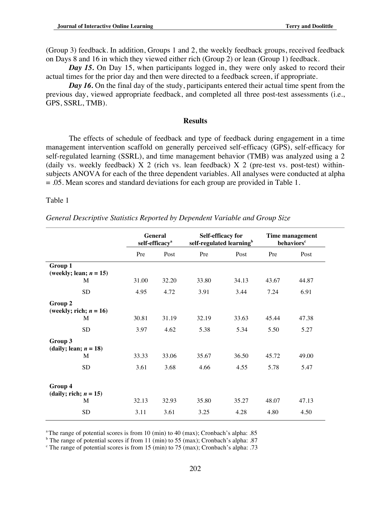(Group 3) feedback. In addition, Groups 1 and 2, the weekly feedback groups, received feedback on Days 8 and 16 in which they viewed either rich (Group 2) or lean (Group 1) feedback.

*Day 15.* On Day 15, when participants logged in, they were only asked to record their actual times for the prior day and then were directed to a feedback screen, if appropriate.

*Day 16.* On the final day of the study, participants entered their actual time spent from the previous day, viewed appropriate feedback, and completed all three post-test assessments (i.e., GPS, SSRL, TMB).

#### **Results**

 The effects of schedule of feedback and type of feedback during engagement in a time management intervention scaffold on generally perceived self-efficacy (GPS), self-efficacy for self-regulated learning (SSRL), and time management behavior (TMB) was analyzed using a 2 (daily vs. weekly feedback)  $X$  2 (rich vs. lean feedback)  $X$  2 (pre-test vs. post-test) withinsubjects ANOVA for each of the three dependent variables. All analyses were conducted at alpha = .05. Mean scores and standard deviations for each group are provided in Table 1.

Table 1

*General Descriptive Statistics Reported by Dependent Variable and Group Size*

|                                      | <b>General</b><br>self-efficacy <sup>a</sup> |       | Self-efficacy for<br>self-regulated learning <sup>b</sup> |       | Time management<br>behaviors <sup>c</sup> |       |
|--------------------------------------|----------------------------------------------|-------|-----------------------------------------------------------|-------|-------------------------------------------|-------|
|                                      | Pre                                          | Post  | Pre                                                       | Post  | Pre                                       | Post  |
| Group 1<br>(weekly; lean; $n = 15$ ) |                                              |       |                                                           |       |                                           |       |
| M                                    | 31.00                                        | 32.20 | 33.80                                                     | 34.13 | 43.67                                     | 44.87 |
| <b>SD</b>                            | 4.95                                         | 4.72  | 3.91                                                      | 3.44  | 7.24                                      | 6.91  |
| Group 2<br>(weekly; rich; $n = 16$ ) |                                              |       |                                                           |       |                                           |       |
| M                                    | 30.81                                        | 31.19 | 32.19                                                     | 33.63 | 45.44                                     | 47.38 |
| <b>SD</b>                            | 3.97                                         | 4.62  | 5.38                                                      | 5.34  | 5.50                                      | 5.27  |
| Group 3<br>(daily; lean; $n = 18$ )  |                                              |       |                                                           |       |                                           |       |
| M                                    | 33.33                                        | 33.06 | 35.67                                                     | 36.50 | 45.72                                     | 49.00 |
| <b>SD</b>                            | 3.61                                         | 3.68  | 4.66                                                      | 4.55  | 5.78                                      | 5.47  |
| Group 4<br>(daily; rich; $n = 15$ )  |                                              |       |                                                           |       |                                           |       |
| M                                    | 32.13                                        | 32.93 | 35.80                                                     | 35.27 | 48.07                                     | 47.13 |
| <b>SD</b>                            | 3.11                                         | 3.61  | 3.25                                                      | 4.28  | 4.80                                      | 4.50  |

<sup>a</sup> The range of potential scores is from 10 (min) to 40 (max); Cronbach's alpha: .85

 $b$  The range of potential scores if from 11 (min) to 55 (max); Cronbach's alpha: .87

<sup>c</sup> The range of potential scores is from 15 (min) to 75 (max); Cronbach's alpha: .73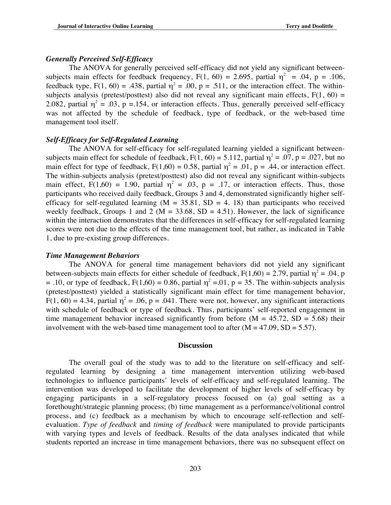### *Generally Perceived Self-Efficacy*

The ANOVA for generally perceived self-efficacy did not yield any significant betweensubjects main effects for feedback frequency,  $F(1, 60) = 2.695$ , partial  $\eta^2 = .04$ , p = .106, feedback type,  $F(1, 60) = .438$ , partial  $\eta^2 = .00$ ,  $p = .511$ , or the interaction effect. The withinsubjects analysis (pretest/posttest) also did not reveal any significant main effects,  $F(1, 60) =$ 2.082, partial  $\eta^2 = .03$ , p = 154, or interaction effects. Thus, generally perceived self-efficacy was not affected by the schedule of feedback, type of feedback, or the web-based time management tool itself.

# *Self-Efficacy for Self-Regulated Learning*

 The ANOVA for self-efficacy for self-regulated learning yielded a significant betweensubjects main effect for schedule of feedback,  $F(1, 60) = 5.112$ , partial  $\eta^2 = .07$ ,  $p = .027$ , but no main effect for type of feedback,  $F(1,60) = 0.58$ , partial  $\eta^2 = .01$ ,  $p = .44$ , or interaction effect. The within-subjects analysis (pretest/posttest) also did not reveal any significant within-subjects main effect,  $F(1,60) = 1.90$ , partial  $\eta^2 = .03$ ,  $p = .17$ , or interaction effects. Thus, those participants who received daily feedback, Groups 3 and 4, demonstrated significantly higher selfefficacy for self-regulated learning ( $M = 35.81$ ,  $SD = 4$ . 18) than participants who received weekly feedback, Groups 1 and 2 ( $M = 33.68$ , SD = 4.51). However, the lack of significance within the interaction demonstrates that the differences in self-efficacy for self-regulated learning scores were not due to the effects of the time management tool, but rather, as indicated in Table 1, due to pre-existing group differences.

#### *Time Management Behaviors*

 The ANOVA for general time management behaviors did not yield any significant between-subjects main effects for either schedule of feedback,  $F(1,60) = 2.79$ , partial  $\eta^2 = .04$ , p = .10, or type of feedback,  $F(1,60) = 0.86$ , partial  $\eta^2 = 0.01$ , p = 35. The within-subjects analysis (pretest/posttest) yielded a statistically significant main effect for time management behavior,  $F(1, 60) = 4.34$ , partial  $\eta^2 = .06$ , p = .041. There were not, however, any significant interactions with schedule of feedback or type of feedback. Thus, participants' self-reported engagement in time management behavior increased significantly from before  $(M = 45.72, SD = 5.68)$  their involvement with the web-based time management tool to after  $(M = 47.09, SD = 5.57)$ .

#### **Discussion**

The overall goal of the study was to add to the literature on self-efficacy and selfregulated learning by designing a time management intervention utilizing web-based technologies to influence participants' levels of self-efficacy and self-regulated learning. The intervention was developed to facilitate the development of higher levels of self-efficacy by engaging participants in a self-regulatory process focused on (a) goal setting as a forethought/strategic planning process; (b) time management as a performance/volitional control process, and (c) feedback as a mechanism by which to encourage self-reflection and selfevaluation. *Type of feedback* and *timing of feedback* were manipulated to provide participants with varying types and levels of feedback. Results of the data analyses indicated that while students reported an increase in time management behaviors, there was no subsequent effect on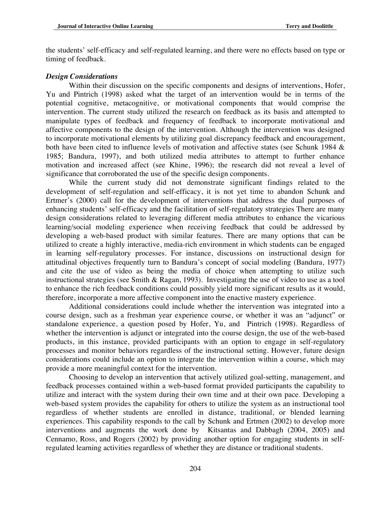the students' self-efficacy and self-regulated learning, and there were no effects based on type or timing of feedback.

#### *Design Considerations*

Within their discussion on the specific components and designs of interventions, Hofer, Yu and Pintrich (1998) asked what the target of an intervention would be in terms of the potential cognitive, metacognitive, or motivational components that would comprise the intervention. The current study utilized the research on feedback as its basis and attempted to manipulate types of feedback and frequency of feedback to incorporate motivational and affective components to the design of the intervention. Although the intervention was designed to incorporate motivational elements by utilizing goal discrepancy feedback and encouragement, both have been cited to influence levels of motivation and affective states (see Schunk 1984 & 1985; Bandura, 1997), and both utilized media attributes to attempt to further enhance motivation and increased affect (see Khine, 1996); the research did not reveal a level of significance that corroborated the use of the specific design components.

 While the current study did not demonstrate significant findings related to the development of self-regulation and self-efficacy, it is not yet time to abandon Schunk and Ertmer's (2000) call for the development of interventions that address the dual purposes of enhancing students' self-efficacy and the facilitation of self-regulatory strategies There are many design considerations related to leveraging different media attributes to enhance the vicarious learning/social modeling experience when receiving feedback that could be addressed by developing a web-based product with similar features. There are many options that can be utilized to create a highly interactive, media-rich environment in which students can be engaged in learning self-regulatory processes. For instance, discussions on instructional design for attitudinal objectives frequently turn to Bandura's concept of social modeling (Bandura, 1977) and cite the use of video as being the media of choice when attempting to utilize such instructional strategies (see Smith & Ragan, 1993). Investigating the use of video to use as a tool to enhance the rich feedback conditions could possibly yield more significant results as it would, therefore, incorporate a more affective component into the enactive mastery experience.

Additional considerations could include whether the intervention was integrated into a course design, such as a freshman year experience course, or whether it was an "adjunct" or standalone experience, a question posed by Hofer, Yu, and Pintrich (1998). Regardless of whether the intervention is adjunct or integrated into the course design, the use of the web-based products, in this instance, provided participants with an option to engage in self-regulatory processes and monitor behaviors regardless of the instructional setting. However, future design considerations could include an option to integrate the intervention within a course, which may provide a more meaningful context for the intervention.

Choosing to develop an intervention that actively utilized goal-setting, management, and feedback processes contained within a web-based format provided participants the capability to utilize and interact with the system during their own time and at their own pace. Developing a web-based system provides the capability for others to utilize the system as an instructional tool regardless of whether students are enrolled in distance, traditional, or blended learning experiences. This capability responds to the call by Schunk and Ertmen (2002) to develop more interventions and augments the work done by Kitsantas and Dabbagh (2004, 2005) and Cennamo, Ross, and Rogers (2002) by providing another option for engaging students in selfregulated learning activities regardless of whether they are distance or traditional students.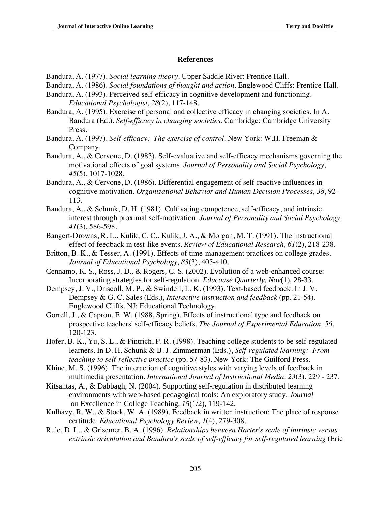# **References**

Bandura, A. (1977). *Social learning theory*. Upper Saddle River: Prentice Hall.

- Bandura, A. (1986). *Social foundations of thought and action*. Englewood Cliffs: Prentice Hall.
- Bandura, A. (1993). Perceived self-efficacy in cognitive development and functioning. *Educational Psychologist, 28*(2), 117-148.
- Bandura, A. (1995). Exercise of personal and collective efficacy in changing societies. In A. Bandura (Ed.), *Self-efficacy in changing societies*. Cambridge: Cambridge University Press.
- Bandura, A. (1997). *Self-efficacy: The exercise of control*. New York: W.H. Freeman & Company.
- Bandura, A., & Cervone, D. (1983). Self-evaluative and self-efficacy mechanisms governing the motivational effects of goal systems. *Journal of Personality and Social Psychology, 45*(5), 1017-1028.
- Bandura, A., & Cervone, D. (1986). Differential engagement of self-reactive influences in cognitive motivation. *Organizational Behavior and Human Decision Processes, 38*, 92- 113.
- Bandura, A., & Schunk, D. H. (1981). Cultivating competence, self-efficacy, and intrinsic interest through proximal self-motivation. *Journal of Personality and Social Psychology, 41*(3), 586-598.
- Bangert-Drowns, R. L., Kulik, C. C., Kulik, J. A., & Morgan, M. T. (1991). The instructional effect of feedback in test-like events. *Review of Educational Research, 61*(2), 218-238.
- Britton, B. K., & Tesser, A. (1991). Effects of time-management practices on college grades. *Journal of Educational Psychology, 83*(3), 405-410.
- Cennamo, K. S., Ross, J. D., & Rogers, C. S. (2002). Evolution of a web-enhanced course: Incorporating strategies for self-regulation. *Educause Quarterly*, *Nov*(1), 28-33.
- Dempsey, J. V., Driscoll, M. P., & Swindell, L. K. (1993). Text-based feedback. In J. V. Dempsey & G. C. Sales (Eds.), *Interactive instruction and feedback* (pp. 21-54). Englewood Cliffs, NJ: Educational Technology.
- Gorrell, J., & Capron, E. W. (1988, Spring). Effects of instructional type and feedback on prospective teachers' self-efficacy beliefs. *The Journal of Experimental Education, 56*, 120-123.
- Hofer, B. K., Yu, S. L., & Pintrich, P. R. (1998). Teaching college students to be self-regulated learners. In D. H. Schunk & B. J. Zimmerman (Eds.), *Self-regulated learning: From teaching to self-reflective practice* (pp. 57-83). New York: The Guilford Press.
- Khine, M. S. (1996). The interaction of cognitive styles with varying levels of feedback in multimedia presentation. *International Journal of Instructional Media, 23*(3), 229 - 237.
- Kitsantas, A., & Dabbagh, N. (2004). Supporting self-regulation in distributed learning environments with web-based pedagogical tools: An exploratory study. *Journal*  on Excellence in College Teaching, *15*(1/2), 119-142.
- Kulhavy, R. W., & Stock, W. A. (1989). Feedback in written instruction: The place of response certitude. *Educational Psychology Review, 1*(4), 279-308.
- Rule, D. L., & Grisemer, B. A. (1996). *Relationships between Harter's scale of intrinsic versus extrinsic orientation and Bandura's scale of self-efficacy for self-regulated learning* (Eric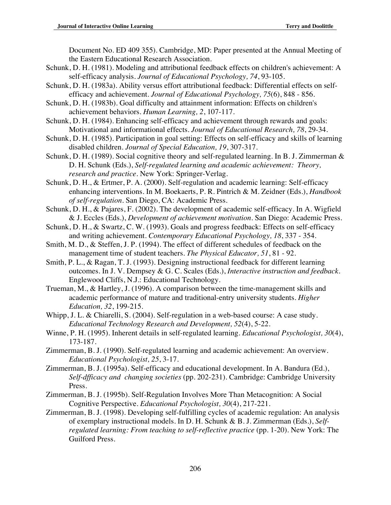Document No. ED 409 355). Cambridge, MD: Paper presented at the Annual Meeting of the Eastern Educational Research Association.

- Schunk, D. H. (1981). Modeling and attributional feedback effects on children's achievement: A self-efficacy analysis. *Journal of Educational Psychology, 74*, 93-105.
- Schunk, D. H. (1983a). Ability versus effort attributional feedback: Differential effects on selfefficacy and achievement. *Journal of Educational Psychology, 75*(6), 848 - 856.
- Schunk, D. H. (1983b). Goal difficulty and attainment information: Effects on children's achievement behaviors. *Human Learning, 2*, 107-117.
- Schunk, D. H. (1984). Enhancing self-efficacy and achievement through rewards and goals: Motivational and informational effects. *Journal of Educational Research, 78*, 29-34.
- Schunk, D. H. (1985). Participation in goal setting: Effects on self-efficacy and skills of learning disabled children. *Journal of Special Education, 19*, 307-317.
- Schunk, D. H. (1989). Social cognitive theory and self-regulated learning. In B. J. Zimmerman & D. H. Schunk (Eds.), *Self-regulated learning and academic achievement: Theory, research and practice*. New York: Springer-Verlag.
- Schunk, D. H., & Ertmer, P. A. (2000). Self-regulation and academic learning: Self-efficacy enhancing interventions. In M. Boekaerts, P. R. Pintrich & M. Zeidner (Eds.), *Handbook of self-regulation*. San Diego, CA: Academic Press.
- Schunk, D. H., & Pajares, F. (2002). The development of academic self-efficacy. In A. Wigfield & J. Eccles (Eds.), *Development of achievement motivation*. San Diego: Academic Press.
- Schunk, D. H., & Swartz, C. W. (1993). Goals and progress feedback: Effects on self-efficacy and writing achievement. *Contemporary Educational Psychology, 18*, 337 - 354.
- Smith, M. D., & Steffen, J. P. (1994). The effect of different schedules of feedback on the management time of student teachers. *The Physical Educator, 51*, 81 - 92.
- Smith, P. L., & Ragan, T. J. (1993). Designing instructional feedback for different learning outcomes. In J. V. Dempsey & G. C. Scales (Eds.), *Interactive instruction and feedback*. Englewood Cliffs, N.J.: Educational Technology.
- Trueman, M., & Hartley, J. (1996). A comparison between the time-management skills and academic performance of mature and traditional-entry university students. *Higher Education, 32*, 199-215.
- Whipp, J. L. & Chiarelli, S. (2004). Self-regulation in a web-based course: A case study. *Educational Technology Research and Development, 52*(4), 5-22.
- Winne, P. H. (1995). Inherent details in self-regulated learning. *Educational Psychologist, 30*(4), 173-187.
- Zimmerman, B. J. (1990). Self-regulated learning and academic achievement: An overview. *Educational Psychologist, 25*, 3-17.
- Zimmerman, B. J. (1995a). Self-efficacy and educational development. In A. Bandura (Ed.), *Self-dfficacy and changing societies* (pp. 202-231). Cambridge: Cambridge University Press.
- Zimmerman, B. J. (1995b). Self-Regulation Involves More Than Metacognition: A Social Cognitive Perspective. *Educational Psychologist, 30*(4), 217-221.
- Zimmerman, B. J. (1998). Developing self-fulfilling cycles of academic regulation: An analysis of exemplary instructional models. In D. H. Schunk & B. J. Zimmerman (Eds.), *Selfregulated learning: From teaching to self-reflective practice* (pp. 1-20). New York: The Guilford Press.